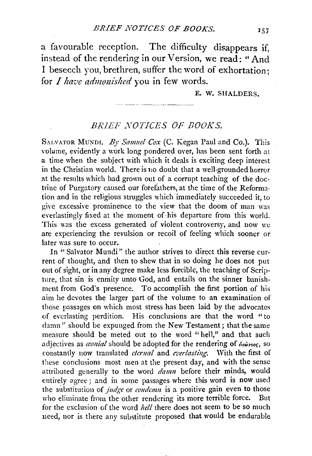a favourable reception. The difficulty disappears if, instead of the rendering in our Version, we read: "And I beseech you, brethren, suffer the word of exhortation; for *I have admouished* you in few words.

E. W. SHALDERS.

## *BRIEF NOTICES OF BOOKS.*

SALVATOR MUNDI. By Samuel Cox (C. Kegan Paul and Co.). This volume, evidently a work long pondered over, has been sent forth at a time when the subject with which it deals is exciting deep interest in the Christian world. There is no doubt that a well-grounded horror at the results which had grown out of a corrupt teaching of the doctrine of Purgatory caused our forefathers, at the time of the Reformation and in the religious struggles which immediately succeeded it, to give excessive prominence to the view that the doom of man was everlastingly fixed at the moment of his departure from this world. This was the excess generated of violent controversy, and now we are experiencing the revulsion or recoil of feeling which sooner or later was sure to occur.

In "Salvator Mundi" the author strives to direct this reverse current of thought, and then to shew that in so doing he does not put out of sight, or in any degree make less forcible, the teaching of Scripture, that sin is enmity unto God, and entails on the sinner banishment from God's presence. To accomplish the first portion of his aim he devotes the larger part of the volume to an examination of those passages on which most stress has been laid by the advocates of everlasting perdition. His conclusions are that the word "to damn" should be expunged from the New Testament; that the same measure should be meted out to the word "hell," and that such adjectives as *cential* should be adopted for the rendering of  $\delta u \omega_{\text{max}}$ , so constantly now translated *ctcrnal* and *everlasting*. With the first of these conclusions most men at the present day, and with the sense attributed generally to the word *damn* before their minds, would entirely agree; and in some passages where this word is now used the substitution of *judge* or *condemn* is a positive gain even to those who eliminate from the other rendering its more terrible force. But for the exclusion of the word *hell* there does not seem to be so much need, nor is there any substitute proposed that would be endurable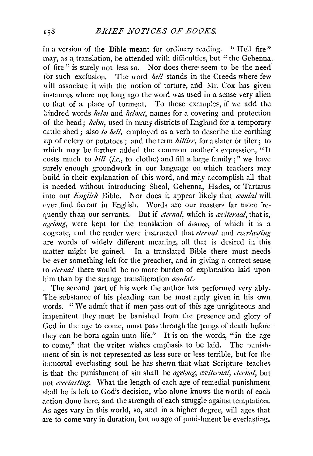in a version of the Bible meant for ordinary reading. " Hell fire" may, as a translation, be attended with difficulties, but "the Gehenna. of fire " is surely not less so. Nor does there- seem to be the need. for such exclusion. The word *hell* stands in the Creeds where few will associate it with the notion of torture, and Mr. Cox has given instances where not long ago the word was used in a sense very alien to that of a place of torment. To those examples, if we add the kindred words *helm* and *helmet*, names for a covering and protection of the head; *ltelm,* used in many districts of England for a temporary cattle shed; also *to hell*, employed as a verb to describe the earthing up of celery or potatoes ; and the term *hillier,* for a slater or tiler; to which may be further added the common mother's expression. "It costs much to  $\frac{hill}{i.e.,}$  to clothe) and fill a large family;" we have surely enough groundwork in our language on which teachers may build in their explanation of this word, and may accomplish all that is needed without introducing Sheol, Gehenna, Hades, or Tartarus into our *English* Bible. Nor does it appear likely that *conial* will ever find favour in English. Words are our masters far more frequently than our servants. But if *eternal*, which is *axiternal*, that is, *agelong*, were kept for the translation of  $\hat{a}_1 \hat{b}_2$  as  $\hat{b}_3$  of which it is a cognate, and the reader were instructed that *eternal* and *everlasting* are words of widely different meaning, all that is desired in this matter might be gained. In a translated Bible there must needs be ever something left for the preacher, and in giving a correct sense to *etemal* there would be no more burden of explanation laid upon him than by the strange transliteration *conial*.

The second part of his work the author has performed very ably. The substance of his pleading can be most aptly given in his own words. "We admit that if men pass out of this age unrighteous and impenitent they must be banished from the presence and glory of God in the age to come, must pass through the pangs of death before they can be born again unto life." It is on the words, "in the age to come," that the writer wishes emphasis to be laid. The punishment of sin is not represented as less sure or less terrible, but for the immortal everlasting soul he has shewn that what Scripture teaches is that the punishment of sin shall be *agelong, aviternal, eternal*, but not *cz•er/asting.* What the length of each age of remedial punishment shall be is left to God's decision, who alone knows the worth of each action. done here, and the strength of each struggle against temptation. As ages vary in this world, so, and in a higher degree, will ages that are to come vary in duration, but no age of punishment be everlasting.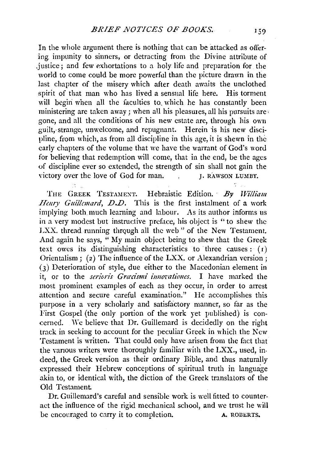In the whole argument there is nothing that can be attacked as offering. impunity to sinners, or detracting from the Divine attribute of .justice; and few exhortations to a holy life and preparation for the world to come could be more powerful than the picture drawn in the last chapter of the misery which after death awaits the unclothed spirit of that man who has lived a sensual life here. His torment will begin when all the faculties to which he has constantly been ministering are taken away; when aU his pleasures, all his pursuits are· gone, and all the conditions of his new estate are, through his own guilt, strange, unwelcome, and repugnant. Herein is his new discipline, from which, as from all discipline in this age, it is shewn in the early chapters of the volume that we have the warrant of God's word for believing that redemption will come, that in the end, be the ages of discipline ever so extended, the strength of sin shall not gain the victory over the love of God for man. J. RAWSON LUMBY.

THE GREEK TESTAMENT. Hebraistic Edition. By William *IIenry Guillemard, D.D.* This is the first instalment of a work implying both much learning and labour. As its author informs us in a very modest but instructive preface, his object is "to shew the LXX. thread running through all the web" of the New Testament. And again he says, "My main object being to shew that the Greek text owes its distinguishing characteristics to three causes:  $(1)$ Orientalism; (2) The influence of the LXX. or Alexandrian version; (3) Deterioration of style, due either to the Macedonian element in it, or to the *serioris Græcismi innovationes*. I have marked the most prominent examples of each as they occur, in order to arrest attention and secure careful examination." He accomplishes this purpose in a very scholarly and satisfactory manner, so far as the First Gospel (the only portion of the work yet published) is concerned. We believe that Dr. Guillemard is decidedly on the right track in seeking to account for the peculiar Greek in which the New Testament is written. That could only have arisen from the fact that the vanous writers were thoroughly familiar with the LXX., used, indeed, the Greek version as their ordinary Bible, and thus naturally expressed their Hebrew conceptions of spiritual truth in language akin to, or identical with, the diction of the Greek translators of the Old Testament.

Dr. Guillemard's careful and sensible work is well fitted to counteract the influence of the rigid mechanical school, and we trust he will be encouraged to carry it to completion. A. ROBERTS.